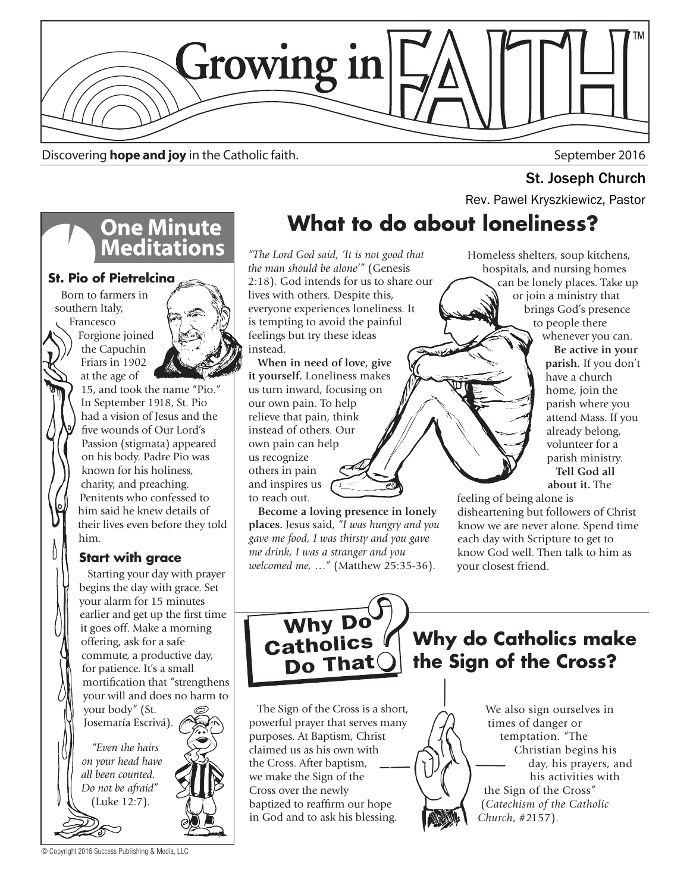

Discovering **hope and joy** in the Catholic faith. September 2016

# **One Minute<br>Meditations**

**St. Pio of Pietrelcina**

Born to farmers in southern Italy, Francesco

Forgione joined the Capuchin Friars in 1902 at the age of



15, and took the name "Pio." In September 1918, St. Pio had a vision of Jesus and the ve wounds of Our Lord's Passion (stigmata) appeared on his body. Padre Pio was known for his holiness, charity, and preaching. Penitents who confessed to him said he knew details of their lives even before they told him.

### **Start with grace**

 Starting your day with prayer begins the day with grace. Set your alarm for 15 minutes earlier and get up the first time it goes off. Make a morning offering, ask for a safe commute, a productive day, for patience. It's a small mortification that "strengthens your will and does no harm to

your body" (St. Josemaría Escrivá).

 *"Even the hairs on your head have all been counted. Do not be afraid"*  (Luke 12:7).



*"The Lord God said, 'It is not good that the man should be alone'"* (Genesis 2:18). God intends for us to share our lives with others. Despite this, everyone experiences loneliness. It is tempting to avoid the painful feelings but try these ideas instead.

 **When in need of love, give it yourself.** Loneliness makes us turn inward, focusing on our own pain. To help relieve that pain, think instead of others. Our own pain can help us recognize others in pain and inspires us to reach out.

 **Become a loving presence in lonely places.** Jesus said, *"I was hungry and you gave me food, I was thirsty and you gave me drink, I was a stranger and you welcomed me, …"* (Matthew 25:35-36).

Homeless shelters, soup kitchens, hospitals, and nursing homes can be lonely places. Take up or join a ministry that brings God's presence to people there whenever you can. **Be active in your parish.** If you don't have a church home, join the parish where you attend Mass. If you

already belong, volunteer for a parish ministry. **Tell God all about it.** The

feeling of being alone is disheartening but followers of Christ know we are never alone. Spend time each day with Scripture to get to know God well. Then talk to him as your closest friend.



**Why do Catholics make the Sign of the Cross?**

 The Sign of the Cross is a short, powerful prayer that serves many purposes. At Baptism, Christ claimed us as his own with the Cross. After baptism, we make the Sign of the Cross over the newly baptized to reaffirm our hope in God and to ask his blessing.

#### We also sign ourselves in times of danger or temptation. "The Christian begins his day, his prayers, and his activities with the Sign of the Cross" (*Catechism of the Catholic Church*, #2157).

© Copyright 2016 Success Publishing & Media, LLC